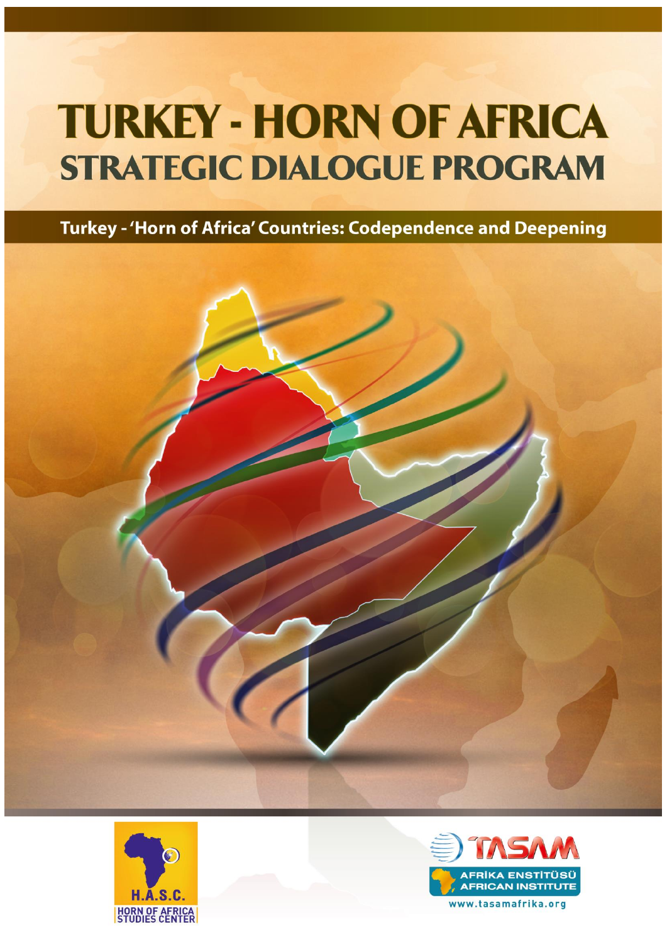Turkey - 'Horn of Africa' Countries: Codependence and Deepening





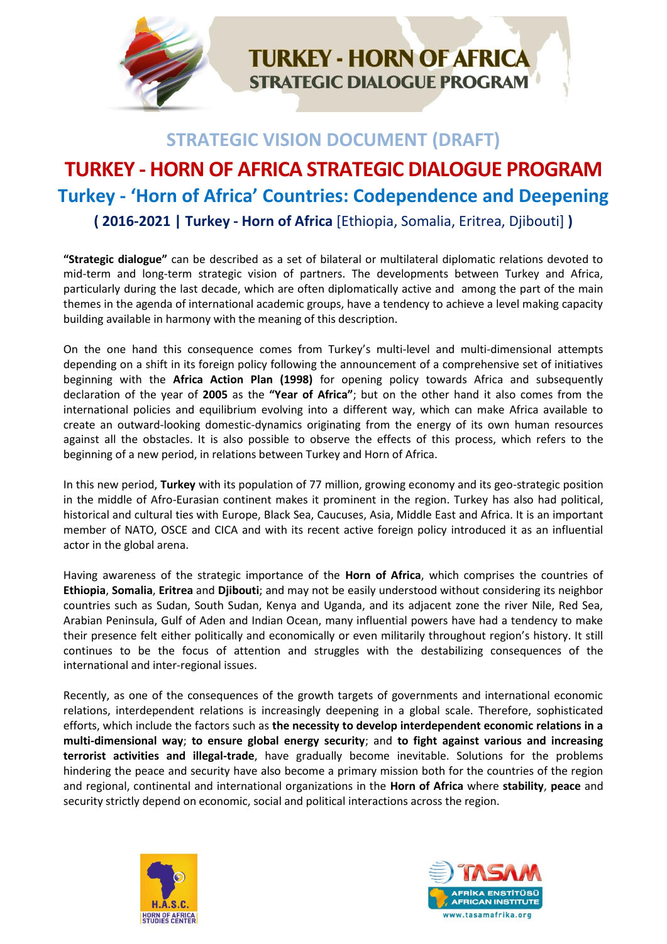

## **STRATEGIC VISION DOCUMENT (DRAFT)**

# **TURKEY - HORN OF AFRICA STRATEGIC DIALOGUE PROGRAM Turkey - 'Horn of Africa' Countries: Codependence and Deepening**

**( 2016-2021 | Turkey - Horn of Africa** [Ethiopia, Somalia, Eritrea, Djibouti] **)**

**"Strategic dialogue"** can be described as a set of bilateral or multilateral diplomatic relations devoted to mid-term and long-term strategic vision of partners. The developments between Turkey and Africa, particularly during the last decade, which are often diplomatically active and among the part of the main themes in the agenda of international academic groups, have a tendency to achieve a level making capacity building available in harmony with the meaning of this description.

On the one hand this consequence comes from Turkey's multi-level and multi-dimensional attempts depending on a shift in its foreign policy following the announcement of a comprehensive set of initiatives beginning with the **Africa Action Plan (1998)** for opening policy towards Africa and subsequently declaration of the year of **2005** as the **"Year of Africa"**; but on the other hand it also comes from the international policies and equilibrium evolving into a different way, which can make Africa available to create an outward-looking domestic-dynamics originating from the energy of its own human resources against all the obstacles. It is also possible to observe the effects of this process, which refers to the beginning of a new period, in relations between Turkey and Horn of Africa.

In this new period, **Turkey** with its population of 77 million, growing economy and its geo-strategic position in the middle of Afro-Eurasian continent makes it prominent in the region. Turkey has also had political, historical and cultural ties with Europe, Black Sea, Caucuses, Asia, Middle East and Africa. It is an important member of NATO, OSCE and CICA and with its recent active foreign policy introduced it as an influential actor in the global arena.

Having awareness of the strategic importance of the **Horn of Africa**, which comprises the countries of **Ethiopia**, **Somalia**, **Eritrea** and **Djibouti**; and may not be easily understood without considering its neighbor countries such as Sudan, South Sudan, Kenya and Uganda, and its adjacent zone the river Nile, Red Sea, Arabian Peninsula, Gulf of Aden and Indian Ocean, many influential powers have had a tendency to make their presence felt either politically and economically or even militarily throughout region's history. It still continues to be the focus of attention and struggles with the destabilizing consequences of the international and inter-regional issues.

Recently, as one of the consequences of the growth targets of governments and international economic relations, interdependent relations is increasingly deepening in a global scale. Therefore, sophisticated efforts, which include the factors such as **the necessity to develop interdependent economic relations in a multi-dimensional way**; **to ensure global energy security**; and **to fight against various and increasing terrorist activities and illegal-trade**, have gradually become inevitable. Solutions for the problems hindering the peace and security have also become a primary mission both for the countries of the region and regional, continental and international organizations in the **Horn of Africa** where **stability**, **peace** and security strictly depend on economic, social and political interactions across the region.



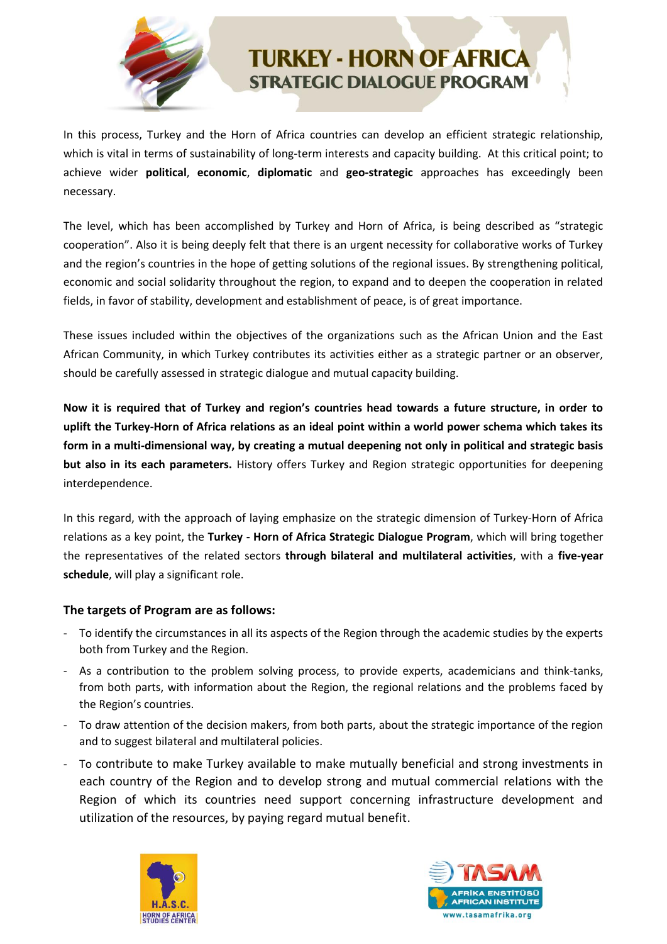

In this process, Turkey and the Horn of Africa countries can develop an efficient strategic relationship, which is vital in terms of sustainability of long-term interests and capacity building. At this critical point; to achieve wider **political**, **economic**, **diplomatic** and **geo-strategic** approaches has exceedingly been necessary.

The level, which has been accomplished by Turkey and Horn of Africa, is being described as "strategic cooperation". Also it is being deeply felt that there is an urgent necessity for collaborative works of Turkey and the region's countries in the hope of getting solutions of the regional issues. By strengthening political, economic and social solidarity throughout the region, to expand and to deepen the cooperation in related fields, in favor of stability, development and establishment of peace, is of great importance.

These issues included within the objectives of the organizations such as the African Union and the East African Community, in which Turkey contributes its activities either as a strategic partner or an observer, should be carefully assessed in strategic dialogue and mutual capacity building.

**Now it is required that of Turkey and region's countries head towards a future structure, in order to uplift the Turkey-Horn of Africa relations as an ideal point within a world power schema which takes its form in a multi-dimensional way, by creating a mutual deepening not only in political and strategic basis but also in its each parameters.** History offers Turkey and Region strategic opportunities for deepening interdependence.

In this regard, with the approach of laying emphasize on the strategic dimension of Turkey-Horn of Africa relations as a key point, the **Turkey - Horn of Africa Strategic Dialogue Program**, which will bring together the representatives of the related sectors **through bilateral and multilateral activities**, with a **five-year schedule**, will play a significant role.

#### **The targets of Program are as follows:**

- To identify the circumstances in all its aspects of the Region through the academic studies by the experts both from Turkey and the Region.
- As a contribution to the problem solving process, to provide experts, academicians and think-tanks, from both parts, with information about the Region, the regional relations and the problems faced by the Region's countries.
- To draw attention of the decision makers, from both parts, about the strategic importance of the region and to suggest bilateral and multilateral policies.
- To contribute to make Turkey available to make mutually beneficial and strong investments in each country of the Region and to develop strong and mutual commercial relations with the Region of which its countries need support concerning infrastructure development and utilization of the resources, by paying regard mutual benefit.



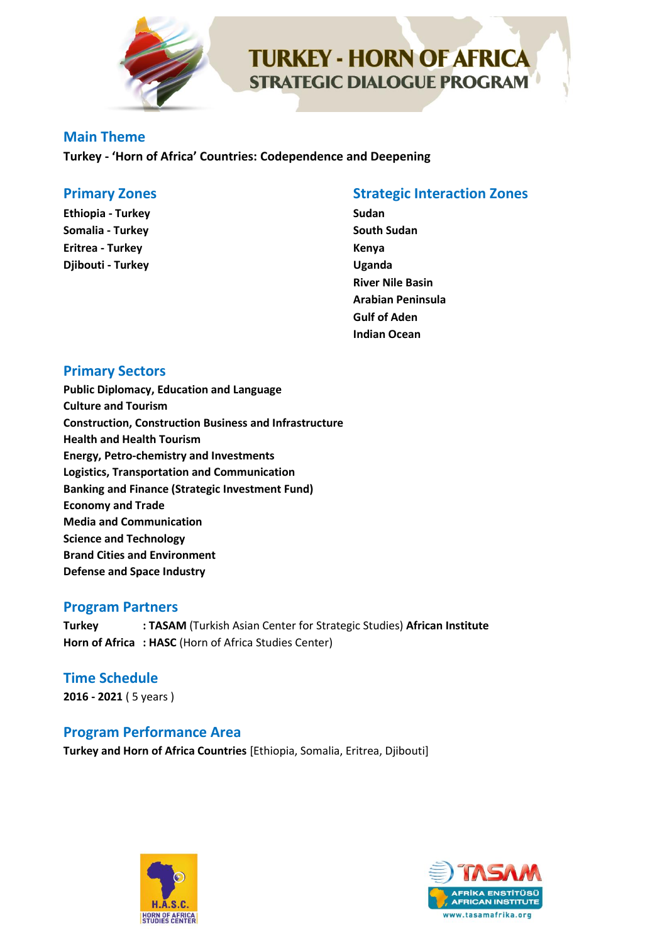

#### **Main Theme**

**Turkey - 'Horn of Africa' Countries: Codependence and Deepening**

#### **Primary Zones**

**Ethiopia - Turkey Somalia - Turkey Eritrea - Turkey Djibouti - Turkey**

### **Strategic Interaction Zones**

**Sudan South Sudan Kenya Uganda River Nile Basin Arabian Peninsula Gulf of Aden Indian Ocean**

## **Primary Sectors**

**Public Diplomacy, Education and Language Culture and Tourism Construction, Construction Business and Infrastructure Health and Health Tourism Energy, Petro-chemistry and Investments Logistics, Transportation and Communication Banking and Finance (Strategic Investment Fund) Economy and Trade Media and Communication Science and Technology Brand Cities and Environment Defense and Space Industry**

#### **Program Partners**

**Turkey : TASAM** (Turkish Asian Center for Strategic Studies) **African Institute Horn of Africa : HASC** (Horn of Africa Studies Center)

**Time Schedule 2016 - 2021** ( 5 years )

#### **Program Performance Area**

**Turkey and Horn of Africa Countries** [Ethiopia, Somalia, Eritrea, Djibouti]